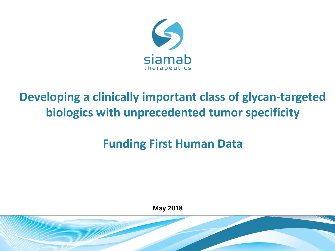

# **Developing a clinically important class of glycan-targeted biologics with unprecedented tumor specificity**

# **Funding First Human Data**

**May 2018**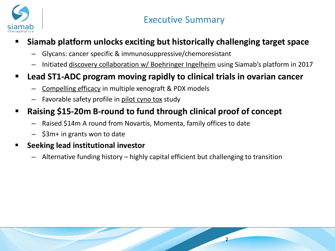

## **Siamab platform unlocks exciting but historically challenging target space**

- Glycans: cancer specific & immunosuppressive/chemoresistant
- Initiated discovery collaboration w/ Boehringer Ingelheim using Siamab's platform in 2017

## **Lead ST1-ADC program moving rapidly to clinical trials in ovarian cancer**

- Compelling efficacy in multiple xenograft & PDX models
- Favorable safety profile in pilot cyno tox study

## **Raising \$15-20m B-round to fund through clinical proof of concept**

- Raised \$14m A round from Novartis, Momenta, family offices to date
- \$3m+ in grants won to date

### **Seeking lead institutional investor**

– Alternative funding history – highly capital efficient but challenging to transition

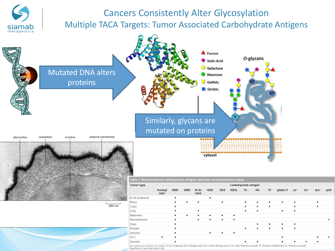## Cancers Consistently Alter Glycosylation Multiple TACA Targets: Tumor Associated Carbohydrate Antigens

siamat therapeutics



Le": Lewis A; Le": Lewis X; Le": Lewis Y; N-Gc: N-glycolyl; pSA: Polysialic acid; SCLC: Small-cell lung cancer; sTn: Sialyl Thomsen-nouvelle; TF: Thomsen-Freidenreich; Tn: Thomsen nouvelle.<br>Data from [32,48,51,145,148,313-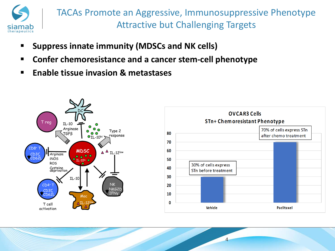

TACAs Promote an Aggressive, Immunosuppressive Phenotype Attractive but Challenging Targets

- **F** Suppress innate immunity (MDSCs and NK cells)
- **Confer chemoresistance and a cancer stem-cell phenotype**
- **Enable tissue invasion & metastases**

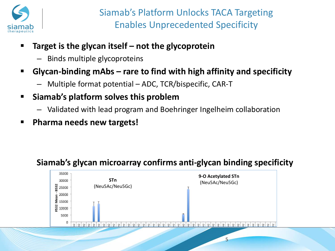

- **Target is the glycan itself – not the glycoprotein**
	- Binds multiple glycoproteins
- **Glycan-binding mAbs – rare to find with high affinity and specificity**
	- Multiple format potential ADC, TCR/bispecific, CAR-T
- **Siamab's platform solves this problem**
	- Validated with lead program and Boehringer Ingelheim collaboration
- **Pharma needs new targets!**

## **Siamab's glycan microarray confirms anti-glycan binding specificity**

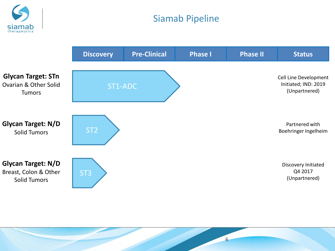<span id="page-5-0"></span>

## Siamab Pipeline

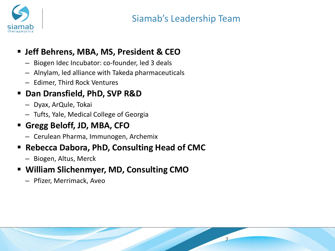

7

## **Jeff Behrens, MBA, MS, President & CEO**

- Biogen Idec Incubator: co-founder, led 3 deals
- Alnylam, led alliance with Takeda pharmaceuticals
- Edimer, Third Rock Ventures

## **Dan Dransfield, PhD, SVP R&D**

- Dyax, ArQule, Tokai
- Tufts, Yale, Medical College of Georgia

## **Gregg Beloff, JD, MBA, CFO**

– Cerulean Pharma, Immunogen, Archemix

## **Rebecca Dabora, PhD, Consulting Head of CMC**

– Biogen, Altus, Merck

## **William Slichenmyer, MD, Consulting CMO**

– Pfizer, Merrimack, Aveo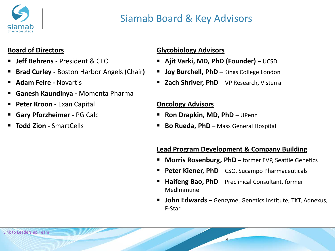

## Siamab Board & Key Advisors

### **Board of Directors**

- **Jeff Behrens -** President & CEO
- **Brad Curley -** Boston Harbor Angels (Chair**)**
- **Adam Feire -** Novartis
- **Ganesh Kaundinya -** Momenta Pharma
- **Peter Kroon -** Exan Capital
- **Gary Pforzheimer -** PG Calc
- **Todd Zion -** SmartCells

### **Glycobiology Advisors**

- **Ajit Varki, MD, PhD (Founder)**  UCSD
- **Joy Burchell, PhD** Kings College London
- **Zach Shriver, PhD**  VP Research, Visterra

#### **Oncology Advisors**

- **Ron Drapkin, MD, PhD**  UPenn
- **Bo Rueda, PhD** Mass General Hospital

### **Lead Program Development & Company Building**

- **Morris Rosenburg, PhD** former EVP, Seattle Genetics
- **Peter Kiener, PhD** CSO, Sucampo Pharmaceuticals
- **Haifeng Bao, PhD**  Preclinical Consultant, former MedImmune

8

 **John Edwards** – Genzyme, Genetics Institute, TKT, Adnexus, F-Star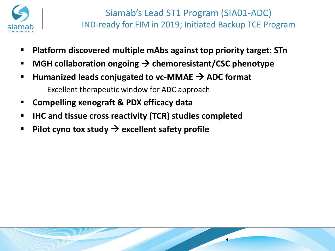

- **Platform discovered multiple mAbs against top priority target: STn**
- MGH collaboration ongoing → chemoresistant/CSC phenotype
- Humanized leads conjugated to vc-MMAE → ADC format
	- Excellent therapeutic window for ADC approach
- **Compelling xenograft & PDX efficacy data**
- **IHC and tissue cross reactivity (TCR) studies completed**
- Pilot cyno tox study  $\rightarrow$  excellent safety profile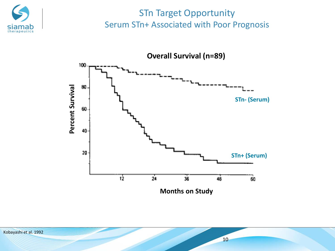

## STn Target Opportunity Serum STn+ Associated with Poor Prognosis

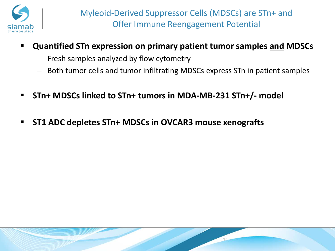

- **Quantified STn expression on primary patient tumor samples and MDSCs**
	- Fresh samples analyzed by flow cytometry
	- Both tumor cells and tumor infiltrating MDSCs express STn in patient samples
- **STn+ MDSCs linked to STn+ tumors in MDA-MB-231 STn+/- model**
- **ST1 ADC depletes STn+ MDSCs in OVCAR3 mouse xenografts**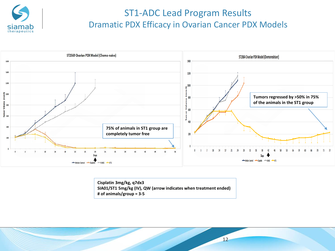

## ST1-ADC Lead Program Results Dramatic PDX Efficacy in Ovarian Cancer PDX Models



**Cisplatin 3mg/kg, q7dx3 SIA01/ST1 5mg/kg (IV), QW (arrow indicates when treatment ended) # of animals/group = 3-5**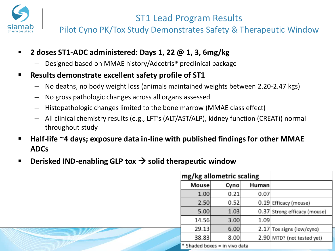

## ST1 Lead Program Results

Pilot Cyno PK/Tox Study Demonstrates Safety & Therapeutic Window

- **2 doses ST1-ADC administered: Days 1, 22 @ 1, 3, 6mg/kg**
	- Designed based on MMAE history/Adcetris® preclinical package
- **Results demonstrate excellent safety profile of ST1**
	- No deaths, no body weight loss (animals maintained weights between 2.20-2.47 kgs)
	- No gross pathologic changes across all organs assessed
	- Histopathologic changes limited to the bone marrow (MMAE class effect)
	- All clinical chemistry results (e.g., LFT's (ALT/AST/ALP), kidney function (CREAT)) normal throughout study
- **Half-life ~4 days; exposure data in-line with published findings for other MMAE ADCs**
- **Derisked IND-enabling GLP tox solid therapeutic window**

| mg/kg allometric scaling      |      |       |                              |
|-------------------------------|------|-------|------------------------------|
| Mouse                         | Cyno | Human |                              |
| 1.00                          | 0.21 | 0.07  |                              |
| 2.50                          | 0.52 |       | 0.19 Efficacy (mouse)        |
| 5.00                          | 1.03 |       | 0.37 Strong efficacy (mouse) |
| 14.56                         | 3.00 | 1.09  |                              |
| 29.13                         | 6.00 |       | 2.17 Tox signs (low/cyno)    |
| 38.83                         | 8.00 |       | 2.90 MTD? (not tested yet)   |
| * Shaded boxes = in vivo data |      |       |                              |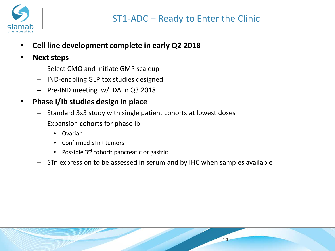

- **Cell line development complete in early Q2 2018**
- **Next steps**
	- Select CMO and initiate GMP scaleup
	- IND-enabling GLP tox studies designed
	- Pre-IND meeting w/FDA in Q3 2018
- **Phase I/Ib studies design in place**
	- Standard 3x3 study with single patient cohorts at lowest doses
	- Expansion cohorts for phase Ib
		- Ovarian
		- Confirmed STn+ tumors
		- Possible 3<sup>rd</sup> cohort: pancreatic or gastric
	- STn expression to be assessed in serum and by IHC when samples available

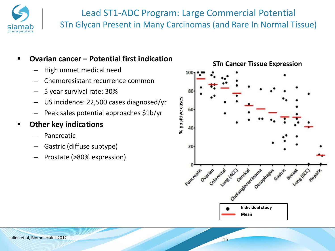

## Lead ST1-ADC Program: Large Commercial Potential STn Glycan Present in Many Carcinomas (and Rare In Normal Tissue)

### **Ovarian cancer – Potential first indication**

- High unmet medical need
- Chemoresistant recurrence common
- 5 year survival rate: 30%
- US incidence: 22,500 cases diagnosed/yr
- Peak sales potential approaches \$1b/yr

### **Other key indications**

- Pancreatic
- Gastric (diffuse subtype)
- Prostate (>80% expression)

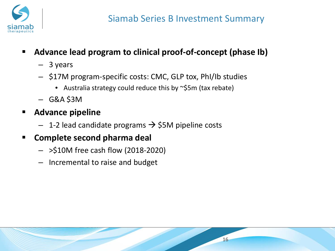

- **Advance lead program to clinical proof-of-concept (phase Ib)**
	- 3 years
	- \$17M program-specific costs: CMC, GLP tox, PhI/Ib studies
		- Australia strategy could reduce this by ~\$5m (tax rebate)
	- $-$  G&A \$3M
- **Advance pipeline**
	- $-$  1-2 lead candidate programs  $\rightarrow$  \$5M pipeline costs
- **Complete second pharma deal**
	- >\$10M free cash flow (2018-2020)
	- Incremental to raise and budget